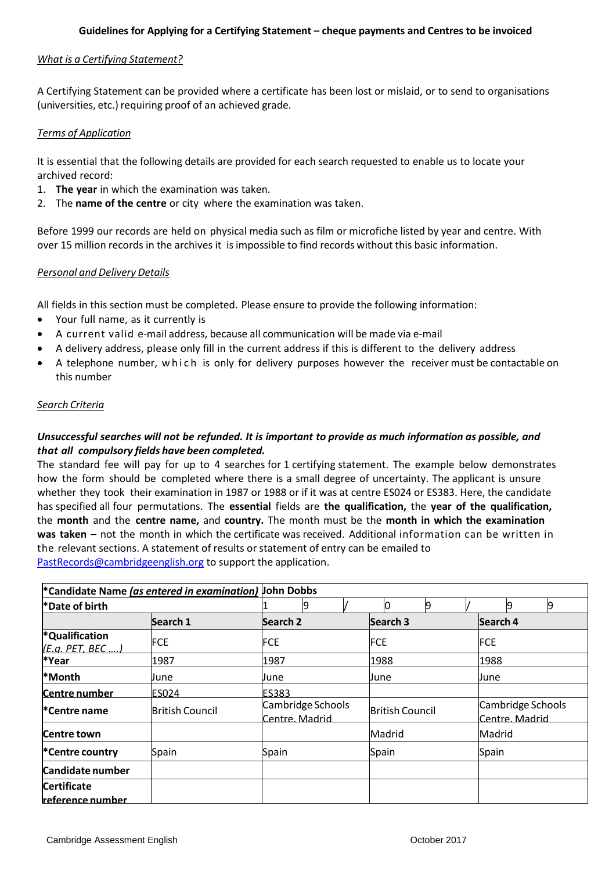### *What is a Certifying Statement?*

A Certifying Statement can be provided where a certificate has been lost or mislaid, or to send to organisations (universities, etc.) requiring proof of an achieved grade.

### *Terms of Application*

It is essential that the following details are provided for each search requested to enable us to locate your archived record:

- 1. **The year** in which the examination was taken.
- 2. The **name of the centre** or city where the examination was taken.

Before 1999 our records are held on physical media such as film or microfiche listed by year and centre. With over 15 million records in the archives it is impossible to find records without this basic information.

#### *Personal and Delivery Details*

All fields in this section must be completed. Please ensure to provide the following information:

- Your full name, as it currently is
- A current valid e-mail address, because all communication will be made via e-mail
- A delivery address, please only fill in the current address if this is different to the delivery address
- A telephone number, w h ich is only for delivery purposes however the receiver must be contactable on this number

### *Search Criteria*

## *Unsuccessful searches will not be refunded. It is important to provide as much information as possible, and that all compulsory fields have been completed.*

The standard fee will pay for up to 4 searches for 1 certifying statement. The example below demonstrates how the form should be completed where there is a small degree of uncertainty. The applicant is unsure whether they took their examination in 1987 or 1988 or if it was at centre ES024 or ES383. Here, the candidate has specified all four permutations. The **essential** fields are **the qualification,** the **year of the qualification,** the **month** and the **centre name,** and **country.** The month must be the **month in which the examination was taken** – not the month in which the certificate was received. Additional information can be written in the relevant sections. A statement of results or statement of entry can be emailed to [PastRecords@cambridgeenglish.org](mailto:PastRecords@cambridgeenglish.org) to support the application.

| *Candidate Name (as entered in examination) John Dobbs<br>*Date of birth |                        |                                     |                        |                                     |  |
|--------------------------------------------------------------------------|------------------------|-------------------------------------|------------------------|-------------------------------------|--|
|                                                                          |                        |                                     |                        | 9<br>9                              |  |
|                                                                          | Search 1               | Search <sub>2</sub>                 | Search <sub>3</sub>    | Search 4                            |  |
| *Qualification<br>(E.a. PET. BEC )                                       | <b>FCE</b>             | <b>FCE</b>                          | <b>FCE</b>             | <b>FCE</b>                          |  |
| *Year                                                                    | 1987                   | 1987                                | 1988                   | 1988                                |  |
| <b>*Month</b>                                                            | June                   | June                                | <b>J</b> une           | June                                |  |
| Centre number                                                            | <b>ES024</b>           | ES383                               |                        |                                     |  |
| l*Centre name                                                            | <b>British Council</b> | Cambridge Schools<br>Centre, Madrid | <b>British Council</b> | Cambridge Schools<br>Centre, Madrid |  |
| Centre town                                                              |                        |                                     | Madrid                 | Madrid                              |  |
| *Centre country                                                          | Spain                  | Spain                               | Spain                  | Spain                               |  |
| Candidate number                                                         |                        |                                     |                        |                                     |  |
| <b>Certificate</b>                                                       |                        |                                     |                        |                                     |  |
| <u>reference number </u>                                                 |                        |                                     |                        |                                     |  |